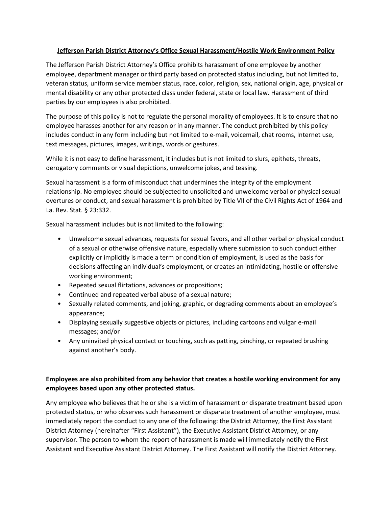## **Jefferson Parish District Attorney's Office Sexual Harassment/Hostile Work Environment Policy**

The Jefferson Parish District Attorney's Office prohibits harassment of one employee by another employee, department manager or third party based on protected status including, but not limited to, veteran status, uniform service member status, race, color, religion, sex, national origin, age, physical or mental disability or any other protected class under federal, state or local law. Harassment of third parties by our employees is also prohibited.

The purpose of this policy is not to regulate the personal morality of employees. It is to ensure that no employee harasses another for any reason or in any manner. The conduct prohibited by this policy includes conduct in any form including but not limited to e-mail, voicemail, chat rooms, Internet use, text messages, pictures, images, writings, words or gestures.

While it is not easy to define harassment, it includes but is not limited to slurs, epithets, threats, derogatory comments or visual depictions, unwelcome jokes, and teasing.

Sexual harassment is a form of misconduct that undermines the integrity of the employment relationship. No employee should be subjected to unsolicited and unwelcome verbal or physical sexual overtures or conduct, and sexual harassment is prohibited by Title VII of the Civil Rights Act of 1964 and La. Rev. Stat. § 23:332.

Sexual harassment includes but is not limited to the following:

- Unwelcome sexual advances, requests for sexual favors, and all other verbal or physical conduct of a sexual or otherwise offensive nature, especially where submission to such conduct either explicitly or implicitly is made a term or condition of employment, is used as the basis for decisions affecting an individual's employment, or creates an intimidating, hostile or offensive working environment;
- Repeated sexual flirtations, advances or propositions;
- Continued and repeated verbal abuse of a sexual nature;
- Sexually related comments, and joking, graphic, or degrading comments about an employee's appearance;
- Displaying sexually suggestive objects or pictures, including cartoons and vulgar e-mail messages; and/or
- Any uninvited physical contact or touching, such as patting, pinching, or repeated brushing against another's body.

## **Employees are also prohibited from any behavior that creates a hostile working environment for any employees based upon any other protected status.**

Any employee who believes that he or she is a victim of harassment or disparate treatment based upon protected status, or who observes such harassment or disparate treatment of another employee, must immediately report the conduct to any one of the following: the District Attorney, the First Assistant District Attorney (hereinafter "First Assistant"), the Executive Assistant District Attorney, or any supervisor. The person to whom the report of harassment is made will immediately notify the First Assistant and Executive Assistant District Attorney. The First Assistant will notify the District Attorney.